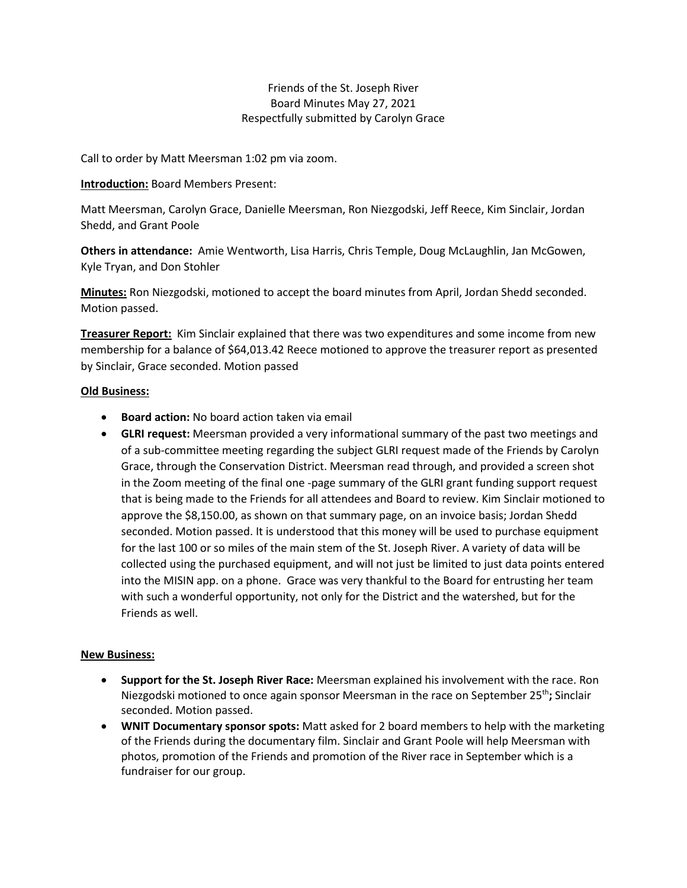# Friends of the St. Joseph River Board Minutes May 27, 2021 Respectfully submitted by Carolyn Grace

Call to order by Matt Meersman 1:02 pm via zoom.

#### **Introduction:** Board Members Present:

Matt Meersman, Carolyn Grace, Danielle Meersman, Ron Niezgodski, Jeff Reece, Kim Sinclair, Jordan Shedd, and Grant Poole

**Others in attendance:** Amie Wentworth, Lisa Harris, Chris Temple, Doug McLaughlin, Jan McGowen, Kyle Tryan, and Don Stohler

**Minutes:** Ron Niezgodski, motioned to accept the board minutes from April, Jordan Shedd seconded. Motion passed.

**Treasurer Report:** Kim Sinclair explained that there was two expenditures and some income from new membership for a balance of \$64,013.42 Reece motioned to approve the treasurer report as presented by Sinclair, Grace seconded. Motion passed

## **Old Business:**

- **Board action:** No board action taken via email
- **GLRI request:** Meersman provided a very informational summary of the past two meetings and of a sub-committee meeting regarding the subject GLRI request made of the Friends by Carolyn Grace, through the Conservation District. Meersman read through, and provided a screen shot in the Zoom meeting of the final one -page summary of the GLRI grant funding support request that is being made to the Friends for all attendees and Board to review. Kim Sinclair motioned to approve the \$8,150.00, as shown on that summary page, on an invoice basis; Jordan Shedd seconded. Motion passed. It is understood that this money will be used to purchase equipment for the last 100 or so miles of the main stem of the St. Joseph River. A variety of data will be collected using the purchased equipment, and will not just be limited to just data points entered into the MISIN app. on a phone. Grace was very thankful to the Board for entrusting her team with such a wonderful opportunity, not only for the District and the watershed, but for the Friends as well.

## **New Business:**

- **Support for the St. Joseph River Race:** Meersman explained his involvement with the race. Ron Niezgodski motioned to once again sponsor Meersman in the race on September 25<sup>th</sup>; Sinclair seconded. Motion passed.
- **WNIT Documentary sponsor spots:** Matt asked for 2 board members to help with the marketing of the Friends during the documentary film. Sinclair and Grant Poole will help Meersman with photos, promotion of the Friends and promotion of the River race in September which is a fundraiser for our group.